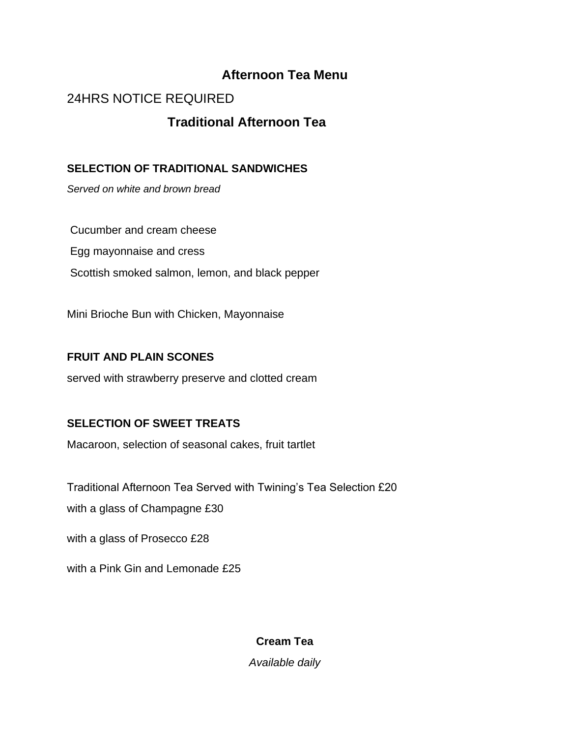## **Afternoon Tea Menu**

# 24HRS NOTICE REQUIRED

## **Traditional Afternoon Tea**

### **SELECTION OF TRADITIONAL SANDWICHES**

*Served on white and brown bread*

Cucumber and cream cheese Egg mayonnaise and cress Scottish smoked salmon, lemon, and black pepper

Mini Brioche Bun with Chicken, Mayonnaise

### **FRUIT AND PLAIN SCONES**

served with strawberry preserve and clotted cream

### **SELECTION OF SWEET TREATS**

Macaroon, selection of seasonal cakes, fruit tartlet

Traditional Afternoon Tea Served with Twining's Tea Selection £20

with a glass of Champagne £30

with a glass of Prosecco £28

with a Pink Gin and Lemonade £25

**Cream Tea** 

*Available daily*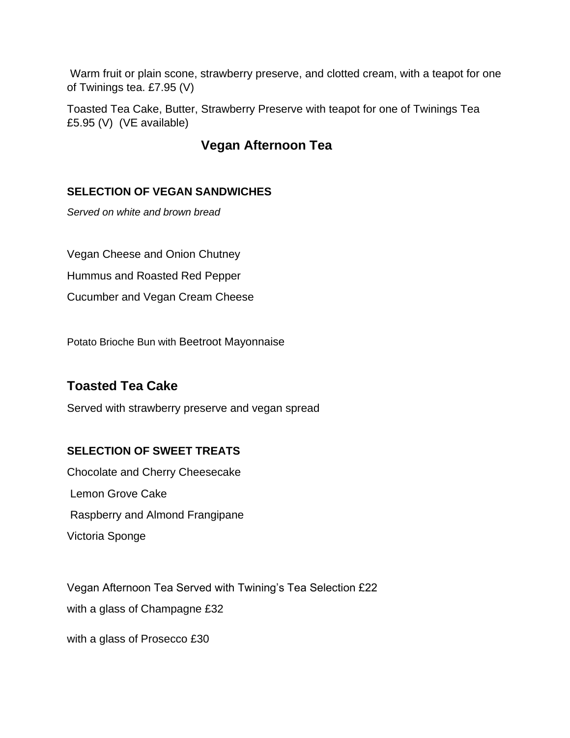Warm fruit or plain scone, strawberry preserve, and clotted cream, with a teapot for one of Twinings tea. £7.95 (V)

Toasted Tea Cake, Butter, Strawberry Preserve with teapot for one of Twinings Tea £5.95 (V) (VE available)

## **Vegan Afternoon Tea**

### **SELECTION OF VEGAN SANDWICHES**

*Served on white and brown bread*

Vegan Cheese and Onion Chutney

Hummus and Roasted Red Pepper

Cucumber and Vegan Cream Cheese

Potato Brioche Bun with Beetroot Mayonnaise

## **Toasted Tea Cake**

Served with strawberry preserve and vegan spread

### **SELECTION OF SWEET TREATS**

Chocolate and Cherry Cheesecake Lemon Grove Cake Raspberry and Almond Frangipane Victoria Sponge

Vegan Afternoon Tea Served with Twining's Tea Selection £22 with a glass of Champagne £32

with a glass of Prosecco £30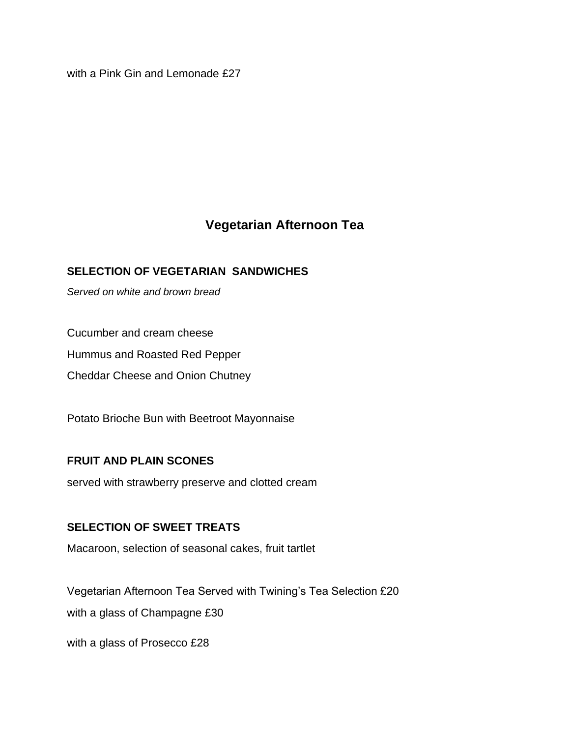with a Pink Gin and Lemonade £27

# **Vegetarian Afternoon Tea**

### **SELECTION OF VEGETARIAN SANDWICHES**

*Served on white and brown bread*

Cucumber and cream cheese

Hummus and Roasted Red Pepper

Cheddar Cheese and Onion Chutney

Potato Brioche Bun with Beetroot Mayonnaise

#### **FRUIT AND PLAIN SCONES**

served with strawberry preserve and clotted cream

#### **SELECTION OF SWEET TREATS**

Macaroon, selection of seasonal cakes, fruit tartlet

Vegetarian Afternoon Tea Served with Twining's Tea Selection £20 with a glass of Champagne £30

with a glass of Prosecco £28